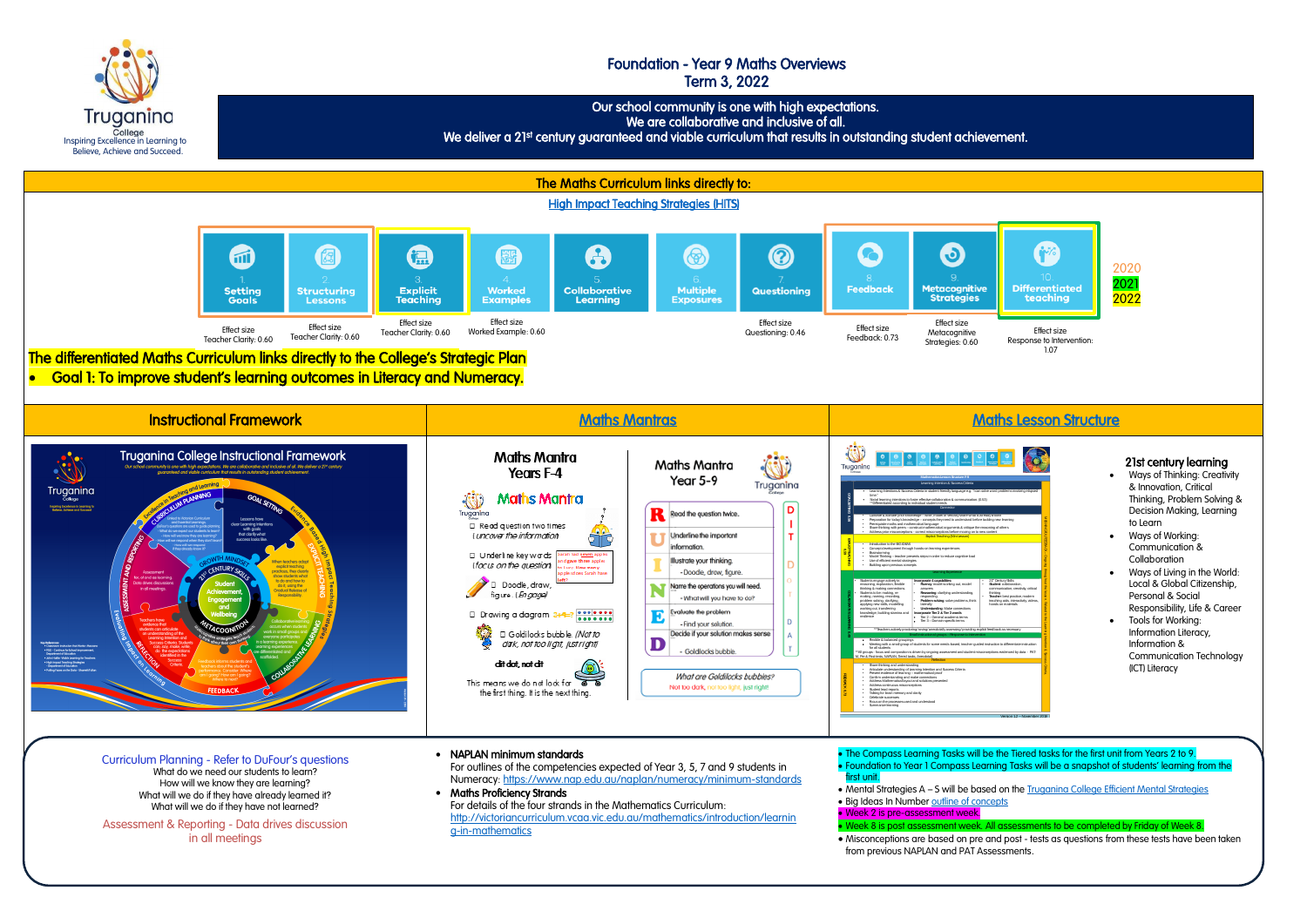Inspiring Excellence in Learning to Believe, Achieve and Succeed.

Truganina College



# Foundation - Year 9 Maths Overviews Term 3, 2022

Our school community is one with high expectations.

We are collaborative and inclusive of all.

We deliver a 21st century guaranteed and viable curriculum that results in outstanding student achievement.

in all meetings

• Misconceptions are based on pre and post - tests as questions from these tests have been taken

from previous NAPLAN and PAT Assessments.

## 21st century learning

- Ways of Thinking: Creativity & Innovation, Critical Thinking, Problem Solving & Decision Making, Learning to Learn
- Ways of Working: Communication & **Collaboration**
- Ways of Living in the World: Local & Global Citizenship, Personal & Social Responsibility, Life & Career
- Tools for Working: Information Literacy, Information & Communication Technology (ICT) Literacy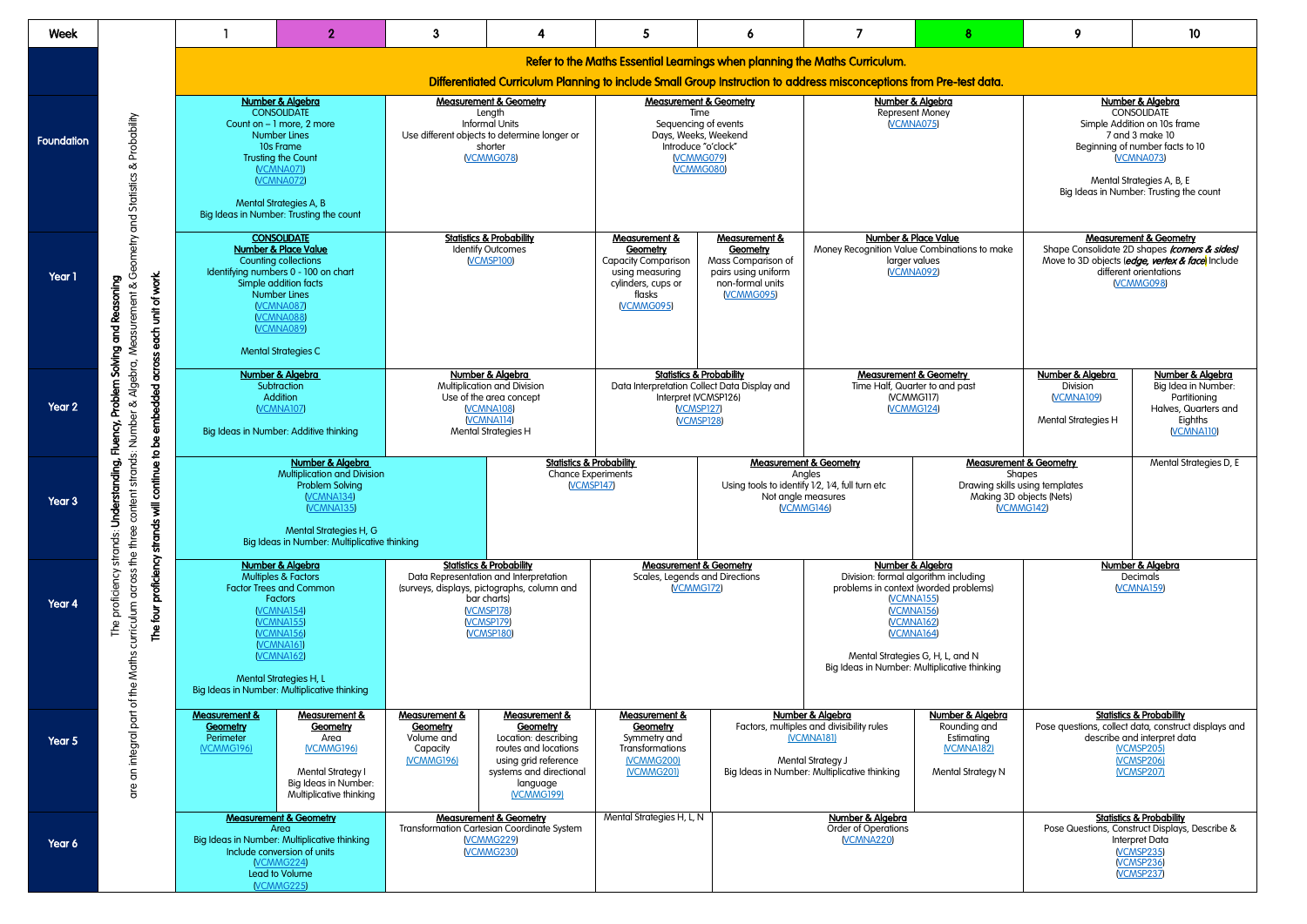| Week              |                                                                                                                                                                                  |                                                                                                                                                                                                                                                                                                                              | $\mathbf{2}$                                                                                                                  | 3                                                                                                                                                                                             | 4                                                                                                                                                                       | 5                                                                                                                                                                                                                                                                                                                                                    | 6                                                                                                                        |                                                                                                                                                               | 8                                                                                              | 9                                                                                                                                                                                                                   | 10                                                                                                                            |  |  |
|-------------------|----------------------------------------------------------------------------------------------------------------------------------------------------------------------------------|------------------------------------------------------------------------------------------------------------------------------------------------------------------------------------------------------------------------------------------------------------------------------------------------------------------------------|-------------------------------------------------------------------------------------------------------------------------------|-----------------------------------------------------------------------------------------------------------------------------------------------------------------------------------------------|-------------------------------------------------------------------------------------------------------------------------------------------------------------------------|------------------------------------------------------------------------------------------------------------------------------------------------------------------------------------------------------------------------------------------------------------------------------------------------------------------------------------------------------|--------------------------------------------------------------------------------------------------------------------------|---------------------------------------------------------------------------------------------------------------------------------------------------------------|------------------------------------------------------------------------------------------------|---------------------------------------------------------------------------------------------------------------------------------------------------------------------------------------------------------------------|-------------------------------------------------------------------------------------------------------------------------------|--|--|
|                   |                                                                                                                                                                                  |                                                                                                                                                                                                                                                                                                                              |                                                                                                                               |                                                                                                                                                                                               |                                                                                                                                                                         | Refer to the Maths Essential Learnings when planning the Maths Curriculum.                                                                                                                                                                                                                                                                           |                                                                                                                          |                                                                                                                                                               |                                                                                                |                                                                                                                                                                                                                     |                                                                                                                               |  |  |
|                   |                                                                                                                                                                                  | Differentiated Curriculum Planning to include Small Group Instruction to address misconceptions from Pre-test data.                                                                                                                                                                                                          |                                                                                                                               |                                                                                                                                                                                               |                                                                                                                                                                         |                                                                                                                                                                                                                                                                                                                                                      |                                                                                                                          |                                                                                                                                                               |                                                                                                |                                                                                                                                                                                                                     |                                                                                                                               |  |  |
| <b>Foundation</b> | Probability<br>చ                                                                                                                                                                 | Number & Algebra<br><b>CONSOLIDATE</b><br>Count on - 1 more, 2 more<br><b>Number Lines</b><br>10s Frame<br><b>Trusting the Count</b><br><b>VCMNA071</b><br><b>VCMNA072</b><br>Mental Strategies A, B<br>Big Ideas in Number: Trusting the count                                                                              |                                                                                                                               | <b>Measurement &amp; Geometry</b><br>Length<br><b>Informal Units</b><br>Use different objects to determine longer or<br>shorter<br><b>VCMMG078</b>                                            |                                                                                                                                                                         | <b>Measurement &amp; Geometry</b><br>Time<br>Sequencing of events<br>Days, Weeks, Weekend<br>Introduce "o'clock"<br><b>VCMMG079</b><br><b>VCMMG080</b>                                                                                                                                                                                               |                                                                                                                          | Number & Algebra<br>Represent Money<br><b>VCMNA075</b>                                                                                                        |                                                                                                | Number & Algebra<br><b>CONSOLIDATE</b><br>Simple Addition on 10s frame<br>7 and 3 make 10<br>Beginning of number facts to 10<br><b>VCMNA073</b><br>Mental Strategies A, B, E<br>Big Ideas in Number: Trusting the c |                                                                                                                               |  |  |
| Year 1            | each unit of work.<br>Reasoning<br>군<br>6<br>Solving                                                                                                                             | Algebra, Measurement & Geometry and Statistics<br><b>CONSOLIDATE</b><br><b>Number &amp; Place Value</b><br>Counting collections<br>Identifying numbers 0 - 100 on chart<br>Simple addition facts<br><b>Number Lines</b><br><b>VCMNA087</b><br><b>VCMNA088</b><br>VCMNA089<br><b>Mental Strategies C</b>                      |                                                                                                                               | <b>Statistics &amp; Probability</b><br><b>Identify Outcomes</b><br>(VCMSP100)                                                                                                                 |                                                                                                                                                                         | Measurement &<br><b>Geometry</b><br><b>Capacity Comparison</b><br>using measuring<br>cylinders, cups or<br>flasks<br><b>NCMMG095</b>                                                                                                                                                                                                                 | <b>Measurement &amp;</b><br><b>Geometry</b><br>Mass Comparison of<br>pairs using uniform<br>non-formal units<br>VCMMG095 | Number & Place Value<br>Money Recognition Value Combinations to make<br>larger values<br><b>VCMNA092</b>                                                      |                                                                                                | <b>Measurement &amp; Geometry</b><br>Shape Consolidate 2D shapes <i>(corners</i><br>Move to 3D objects (edge, vertex & face<br>different orientations<br><b>VCMMG098</b>                                            |                                                                                                                               |  |  |
| Year 2            | Problem<br>embedded<br>చ<br>Fluency,<br>൧ഀ                                                                                                                                       | across<br>Number & Algebra<br>Subtraction<br>Addition<br><b>VCMNA107</b><br>strands: Number<br>Big Ideas in Number: Additive thinking                                                                                                                                                                                        |                                                                                                                               | Number & Algebra<br>Multiplication and Division<br>Use of the area concept<br><b>VCMNA108</b><br><b>VCMNA114</b><br><b>Mental Strategies H</b>                                                |                                                                                                                                                                         | <b>Statistics &amp; Probability</b><br>Data Interpretation Collect Data Display and<br>Interpret (VCMSP126)<br><b>NCMSP127</b><br>VCMSP128                                                                                                                                                                                                           |                                                                                                                          | <b>Measurement &amp; Geometry</b><br>Time Half, Quarter to and past<br>(VCMMG117)<br><b>VCMMG124</b>                                                          | Number & Algebra<br>Division<br><b>VCMNA109</b><br><b>Mental Strategies H</b>                  | Number &<br>Big Idea in N<br>Partition<br>Halves, Qua<br>Eighth<br><b>VCMNA</b>                                                                                                                                     |                                                                                                                               |  |  |
| Year 3            | continue to<br>derstanding,<br>intent<br>Š<br>strands v                                                                                                                          | Number & Algebra<br><b>Multiplication and Division</b><br><b>Problem Solving</b><br><b>VCMNA134</b><br><b>VCMNA135</b><br>Mental Strategies H, G<br>Big Ideas in Number: Multiplicative thinking                                                                                                                             |                                                                                                                               | <b>Statistics &amp; Probability</b><br><b>Chance Experiments</b><br><b>VCMSP147</b>                                                                                                           |                                                                                                                                                                         |                                                                                                                                                                                                                                                                                                                                                      |                                                                                                                          | <b>Measurement &amp; Geometry</b><br>Angles<br>Using tools to identify V2, V4, full turn etc<br>Not angle measures<br>VCMMG146                                | Drawing skills using templates<br>Making 3D objects (Nets)                                     | <b>Measurement &amp; Geometry</b><br>Shapes<br><b>VCMMG142</b>                                                                                                                                                      | <b>Mental Strate</b>                                                                                                          |  |  |
| Year 4            | The four proficiency<br>proficiency<br>РŲ                                                                                                                                        | curriculum across the three co<br>strands:<br><b>Number &amp; Algebra</b><br><b>Multiples &amp; Factors</b><br><b>Factor Trees and Common</b><br><b>Factors</b><br>(VCMNA154)<br><b>VCMNA155</b><br><b>VCMNA156</b><br>VCMNA161<br><b>VCMNA162</b><br>Mental Strategies H, L<br>Big Ideas in Number: Multiplicative thinking |                                                                                                                               | <b>Statistics &amp; Probability</b><br>Data Representation and Interpretation<br>(surveys, displays, pictographs, column and<br>bar charts)<br><b>VCMSP178</b><br><b>VCMSP179</b><br>VCMSP180 |                                                                                                                                                                         | <b>Measurement &amp; Geometry</b><br>Number & Algebra<br>Division: formal algorithm including<br>Scales, Legends and Directions<br>VCMMG172<br>problems in context (worded problems)<br><b>VCMNA155</b><br><b>VCMNA156</b><br><b>VCMNA162</b><br><b>VCMNA164</b><br>Mental Strategies G, H, L, and N<br>Big Ideas in Number: Multiplicative thinking |                                                                                                                          |                                                                                                                                                               | Number & Algebra<br>Decimals<br><b>VCMNA159</b>                                                |                                                                                                                                                                                                                     |                                                                                                                               |  |  |
| Year 5            | an integral part of the Maths<br>are                                                                                                                                             | <b>Measurement &amp;</b><br>Geometry<br>Perimeter<br>(VCMMG196)                                                                                                                                                                                                                                                              | Measurement &<br>Geometry<br>Area<br><b>NCMMG196)</b><br>Mental Strategy I<br>Big Ideas in Number:<br>Multiplicative thinking | Measurement &<br>Geometry<br>Volume and<br>Capacity<br>(VCMMG196)                                                                                                                             | <b>Measurement &amp;</b><br>Geometry<br>Location: describing<br>routes and locations<br>using grid reference<br>systems and directional<br>language<br><b>NCMMG199)</b> | <b>Measurement &amp;</b><br>Geometry<br>Symmetry and<br>Transformations<br><b>NCMMG200)</b><br><b>NCMMG201)</b>                                                                                                                                                                                                                                      |                                                                                                                          | Number & Algebra<br>Factors, multiples and divisibility rules<br><b>NCMNA181)</b><br><b>Mental Strategy J</b><br>Big Ideas in Number: Multiplicative thinking | Number & Algebra<br>Rounding and<br>Estimating<br><b>NCMNA182)</b><br><b>Mental Strategy N</b> | Pose questions, collect data, construct dis                                                                                                                                                                         | <b>Statistics &amp; Probability</b><br>describe and interpret data<br><b>NCMSP205)</b><br><b>NCMSP206)</b><br><b>NCMSP207</b> |  |  |
| Year 6            | <b>Measurement &amp; Geometry</b><br>Area<br>Big Ideas in Number: Multiplicative thinking<br>Include conversion of units<br><b>VCMMG224</b><br>Lead to Volume<br><b>VCMMG225</b> |                                                                                                                                                                                                                                                                                                                              | <b>Measurement &amp; Geometry</b><br>Transformation Cartesian Coordinate System<br><b>VCMMG229</b><br><b>VCMMG230</b>         |                                                                                                                                                                                               | Mental Strategies H, L, N                                                                                                                                               | Number & Algebra<br>Order of Operations<br><b>VCMNA220</b>                                                                                                                                                                                                                                                                                           |                                                                                                                          | <b>Statistics &amp; Probability</b><br>Pose Questions, Construct Displays, De<br>Interpret Data<br>VCMSP235<br>VCMSP236<br>VCMSP237                           |                                                                                                |                                                                                                                                                                                                                     |                                                                                                                               |  |  |

| 8                                                                                                                            | 9                                                                                                                                                                                                                           | 10                                                                                                                                                                           |  |  |
|------------------------------------------------------------------------------------------------------------------------------|-----------------------------------------------------------------------------------------------------------------------------------------------------------------------------------------------------------------------------|------------------------------------------------------------------------------------------------------------------------------------------------------------------------------|--|--|
| test data.                                                                                                                   |                                                                                                                                                                                                                             |                                                                                                                                                                              |  |  |
|                                                                                                                              | <b>Number &amp; Algebra</b><br><b>CONSOLIDATE</b><br>Simple Addition on 10s frame<br>7 and 3 make 10<br>Beginning of number facts to 10<br>VCMNA073<br>Mental Strategies A, B, E<br>Big Ideas in Number: Trusting the count |                                                                                                                                                                              |  |  |
| tions to make                                                                                                                |                                                                                                                                                                                                                             | <b>Measurement &amp; Geometry</b><br>Shape Consolidate 2D shapes (corners & sides)<br>Move to 3D objects (edge, vertex & face) Include<br>different orientations<br>VCMMG098 |  |  |
| IΓV_<br>past                                                                                                                 | Number & Algebra<br><b>Division</b><br><b>VCMNA109</b><br><b>Mental Strategies H</b>                                                                                                                                        | Number & Algebra<br>Big Idea in Number:<br>Partitioning<br>Halves, Quarters and<br>Eighths<br>(VCMNA110)                                                                     |  |  |
| <b>Measurement &amp; Geometry</b><br><b>Shapes</b><br>Drawing skills using templates<br>Making 3D objects (Nets)<br>VCMMG142 |                                                                                                                                                                                                                             | Mental Strategies D, E                                                                                                                                                       |  |  |
| luding<br>roblems)                                                                                                           |                                                                                                                                                                                                                             | Number & Algebra<br>Decimals<br><b>(VCMNA159)</b>                                                                                                                            |  |  |
| nd N<br>e thinking                                                                                                           |                                                                                                                                                                                                                             |                                                                                                                                                                              |  |  |
| <u>r &amp; Algebra</u><br>nding and<br>imating<br><b>MNA182)</b><br>I Strategy N                                             | <b>Statistics &amp; Probability</b><br>Pose questions, collect data, construct displays and<br>describe and interpret data<br><b>NCMSP205)</b><br>(VCMSP206)<br><b>NCMSP207</b>                                             |                                                                                                                                                                              |  |  |
|                                                                                                                              | <b>Statistics &amp; Probability</b><br>Pose Questions, Construct Displays, Describe &<br>Interpret Data<br>VCMSP235<br>VCMSP236<br>VCMSP237                                                                                 |                                                                                                                                                                              |  |  |